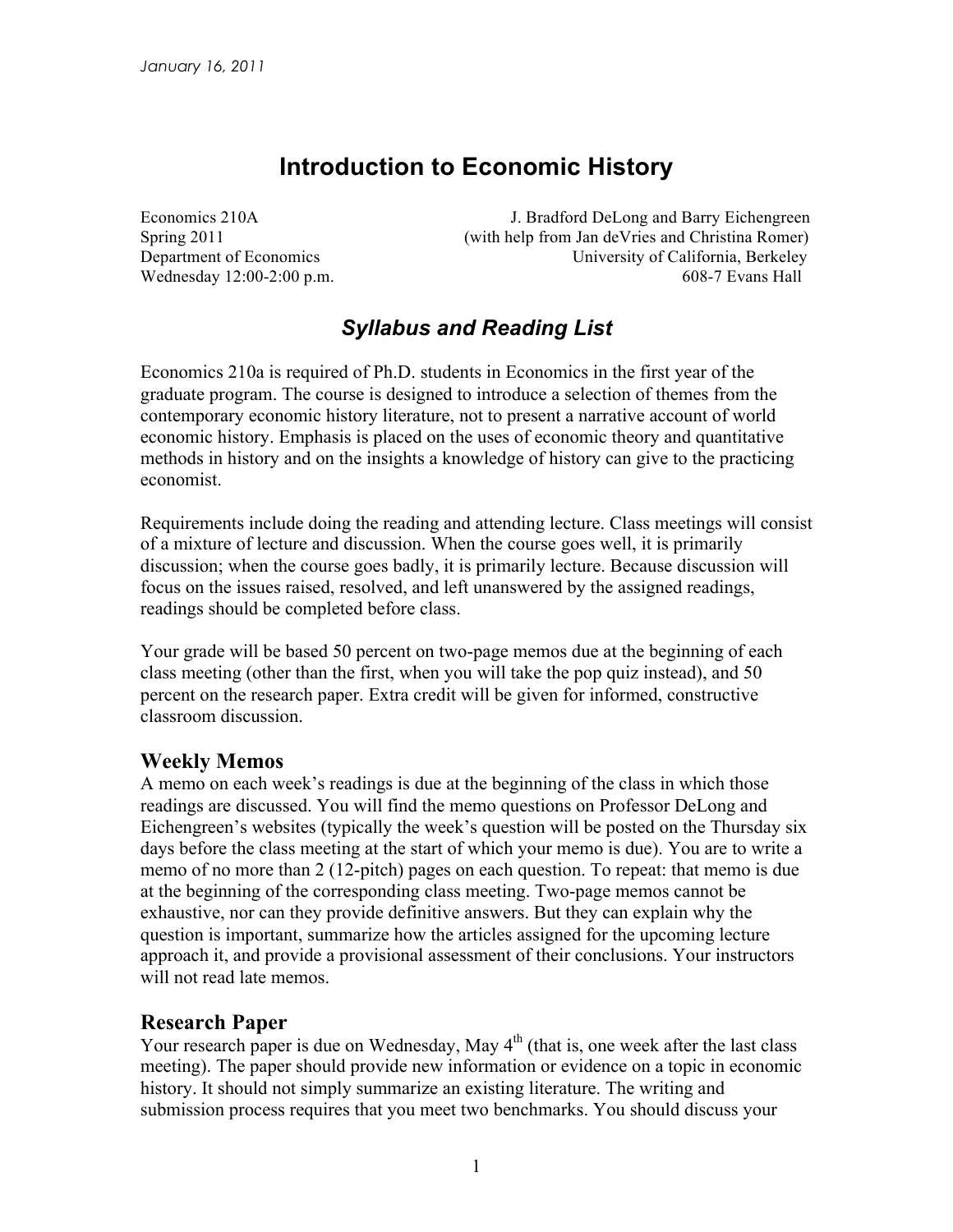# **Introduction to Economic History**

Economics 210A J. Bradford DeLong and Barry Eichengreen Spring 2011 (with help from Jan deVries and Christina Romer) Department of Economics University of California, Berkeley Wednesday 12:00-2:00 p.m. 608-7 Evans Hall

## *Syllabus and Reading List*

Economics 210a is required of Ph.D. students in Economics in the first year of the graduate program. The course is designed to introduce a selection of themes from the contemporary economic history literature, not to present a narrative account of world economic history. Emphasis is placed on the uses of economic theory and quantitative methods in history and on the insights a knowledge of history can give to the practicing economist.

Requirements include doing the reading and attending lecture. Class meetings will consist of a mixture of lecture and discussion. When the course goes well, it is primarily discussion; when the course goes badly, it is primarily lecture. Because discussion will focus on the issues raised, resolved, and left unanswered by the assigned readings, readings should be completed before class.

Your grade will be based 50 percent on two-page memos due at the beginning of each class meeting (other than the first, when you will take the pop quiz instead), and 50 percent on the research paper. Extra credit will be given for informed, constructive classroom discussion.

#### **Weekly Memos**

A memo on each week's readings is due at the beginning of the class in which those readings are discussed. You will find the memo questions on Professor DeLong and Eichengreen's websites (typically the week's question will be posted on the Thursday six days before the class meeting at the start of which your memo is due). You are to write a memo of no more than 2 (12-pitch) pages on each question. To repeat: that memo is due at the beginning of the corresponding class meeting. Two-page memos cannot be exhaustive, nor can they provide definitive answers. But they can explain why the question is important, summarize how the articles assigned for the upcoming lecture approach it, and provide a provisional assessment of their conclusions. Your instructors will not read late memos.

#### **Research Paper**

Your research paper is due on Wednesday, May  $4<sup>th</sup>$  (that is, one week after the last class meeting). The paper should provide new information or evidence on a topic in economic history. It should not simply summarize an existing literature. The writing and submission process requires that you meet two benchmarks. You should discuss your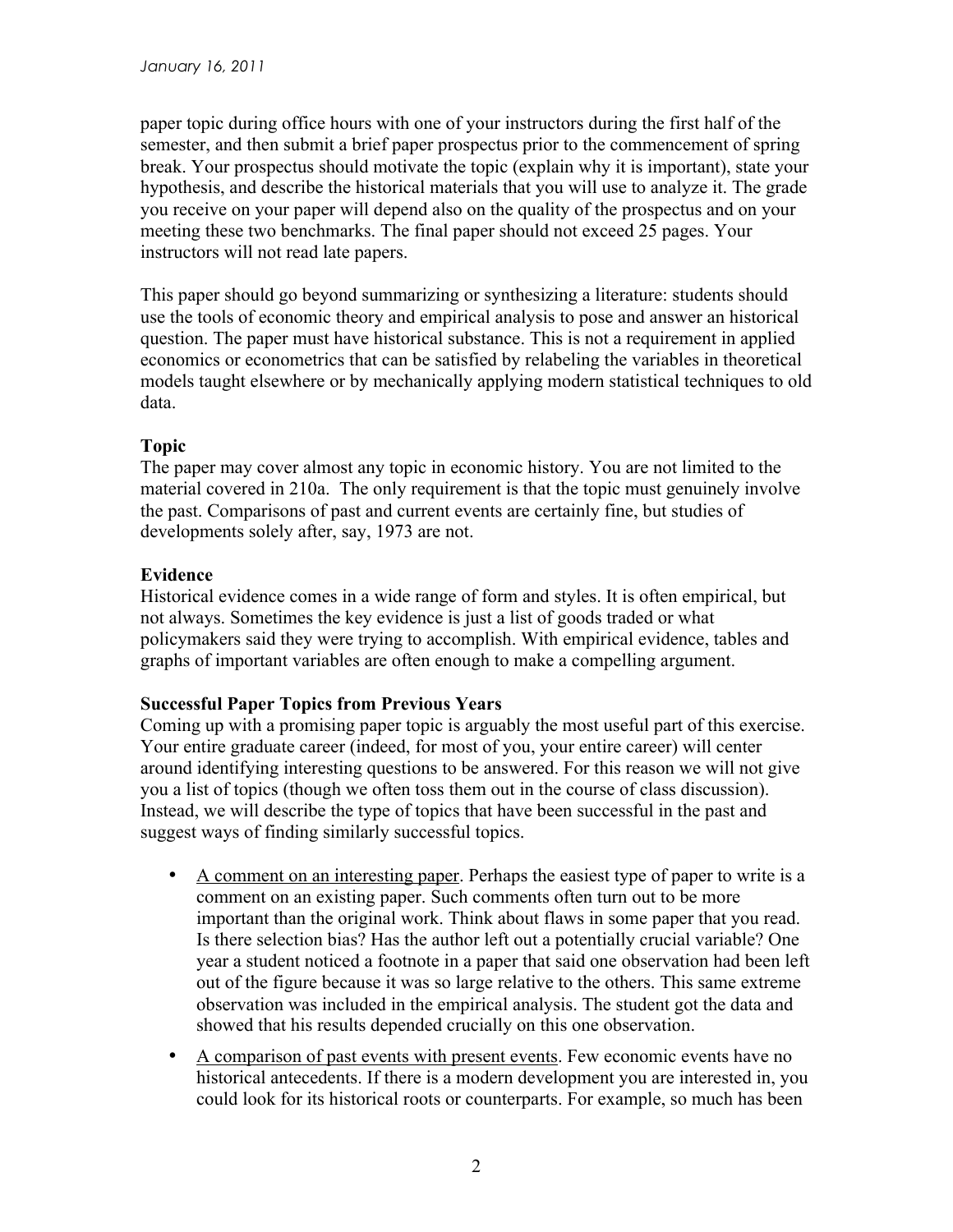paper topic during office hours with one of your instructors during the first half of the semester, and then submit a brief paper prospectus prior to the commencement of spring break. Your prospectus should motivate the topic (explain why it is important), state your hypothesis, and describe the historical materials that you will use to analyze it. The grade you receive on your paper will depend also on the quality of the prospectus and on your meeting these two benchmarks. The final paper should not exceed 25 pages. Your instructors will not read late papers.

This paper should go beyond summarizing or synthesizing a literature: students should use the tools of economic theory and empirical analysis to pose and answer an historical question. The paper must have historical substance. This is not a requirement in applied economics or econometrics that can be satisfied by relabeling the variables in theoretical models taught elsewhere or by mechanically applying modern statistical techniques to old data.

#### **Topic**

The paper may cover almost any topic in economic history. You are not limited to the material covered in 210a. The only requirement is that the topic must genuinely involve the past. Comparisons of past and current events are certainly fine, but studies of developments solely after, say, 1973 are not.

#### **Evidence**

Historical evidence comes in a wide range of form and styles. It is often empirical, but not always. Sometimes the key evidence is just a list of goods traded or what policymakers said they were trying to accomplish. With empirical evidence, tables and graphs of important variables are often enough to make a compelling argument.

#### **Successful Paper Topics from Previous Years**

Coming up with a promising paper topic is arguably the most useful part of this exercise. Your entire graduate career (indeed, for most of you, your entire career) will center around identifying interesting questions to be answered. For this reason we will not give you a list of topics (though we often toss them out in the course of class discussion). Instead, we will describe the type of topics that have been successful in the past and suggest ways of finding similarly successful topics.

- A comment on an interesting paper. Perhaps the easiest type of paper to write is a comment on an existing paper. Such comments often turn out to be more important than the original work. Think about flaws in some paper that you read. Is there selection bias? Has the author left out a potentially crucial variable? One year a student noticed a footnote in a paper that said one observation had been left out of the figure because it was so large relative to the others. This same extreme observation was included in the empirical analysis. The student got the data and showed that his results depended crucially on this one observation.
- A comparison of past events with present events. Few economic events have no historical antecedents. If there is a modern development you are interested in, you could look for its historical roots or counterparts. For example, so much has been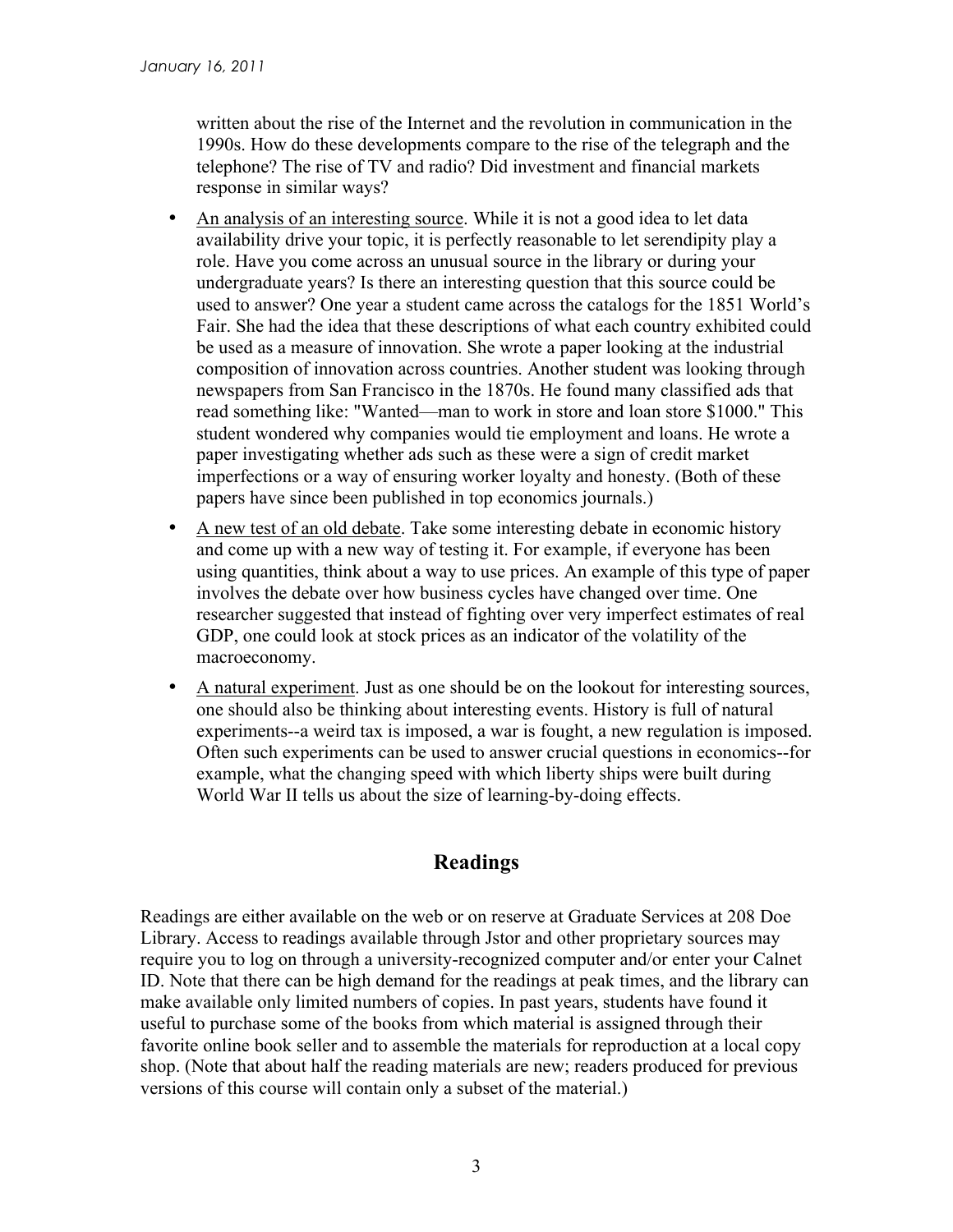written about the rise of the Internet and the revolution in communication in the 1990s. How do these developments compare to the rise of the telegraph and the telephone? The rise of TV and radio? Did investment and financial markets response in similar ways?

- An analysis of an interesting source. While it is not a good idea to let data availability drive your topic, it is perfectly reasonable to let serendipity play a role. Have you come across an unusual source in the library or during your undergraduate years? Is there an interesting question that this source could be used to answer? One year a student came across the catalogs for the 1851 World's Fair. She had the idea that these descriptions of what each country exhibited could be used as a measure of innovation. She wrote a paper looking at the industrial composition of innovation across countries. Another student was looking through newspapers from San Francisco in the 1870s. He found many classified ads that read something like: "Wanted—man to work in store and loan store \$1000." This student wondered why companies would tie employment and loans. He wrote a paper investigating whether ads such as these were a sign of credit market imperfections or a way of ensuring worker loyalty and honesty. (Both of these papers have since been published in top economics journals.)
- A new test of an old debate. Take some interesting debate in economic history and come up with a new way of testing it. For example, if everyone has been using quantities, think about a way to use prices. An example of this type of paper involves the debate over how business cycles have changed over time. One researcher suggested that instead of fighting over very imperfect estimates of real GDP, one could look at stock prices as an indicator of the volatility of the macroeconomy.
- A natural experiment. Just as one should be on the lookout for interesting sources, one should also be thinking about interesting events. History is full of natural experiments--a weird tax is imposed, a war is fought, a new regulation is imposed. Often such experiments can be used to answer crucial questions in economics--for example, what the changing speed with which liberty ships were built during World War II tells us about the size of learning-by-doing effects.

## **Readings**

Readings are either available on the web or on reserve at Graduate Services at 208 Doe Library. Access to readings available through Jstor and other proprietary sources may require you to log on through a university-recognized computer and/or enter your Calnet ID. Note that there can be high demand for the readings at peak times, and the library can make available only limited numbers of copies. In past years, students have found it useful to purchase some of the books from which material is assigned through their favorite online book seller and to assemble the materials for reproduction at a local copy shop. (Note that about half the reading materials are new; readers produced for previous versions of this course will contain only a subset of the material.)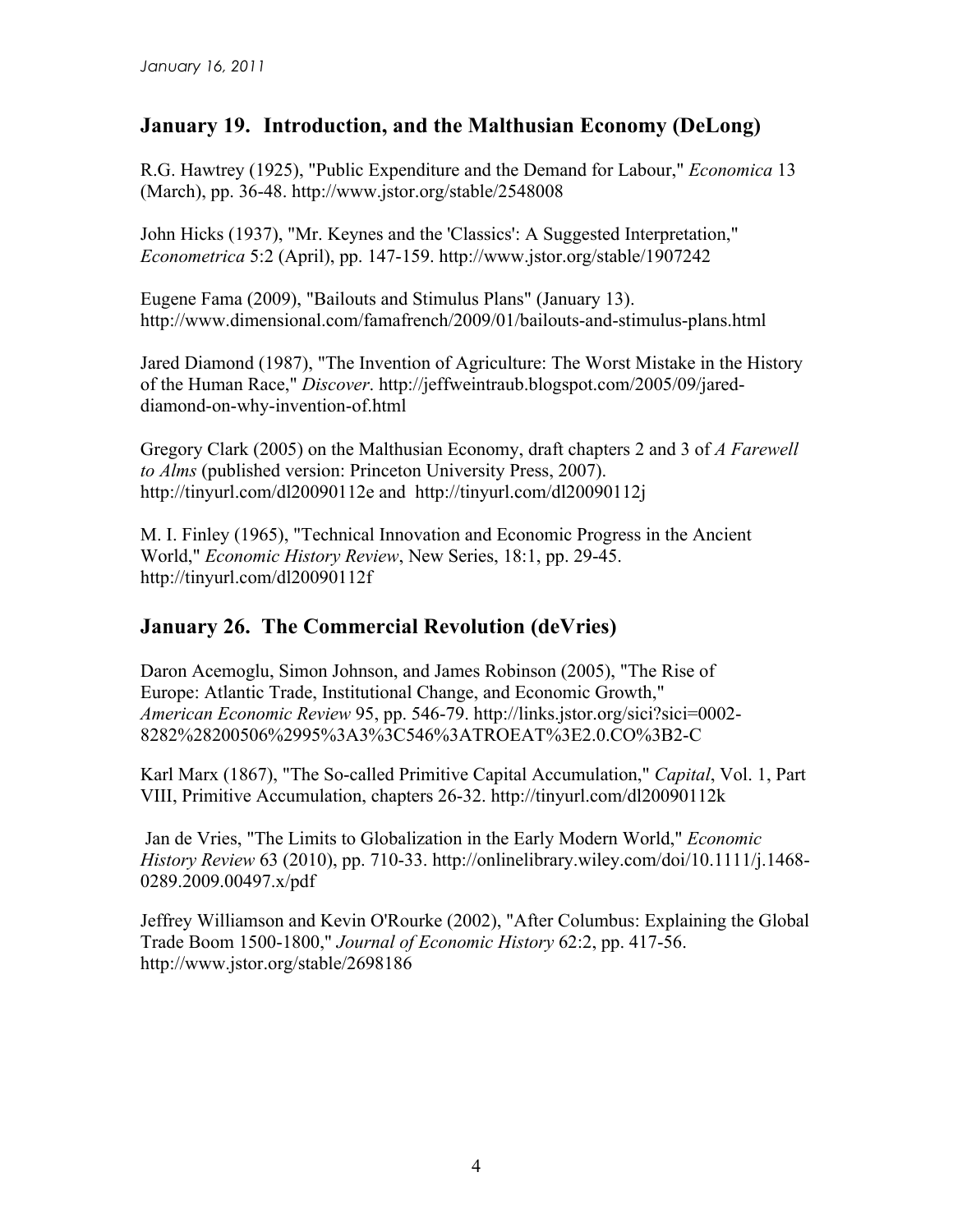## **January 19. Introduction, and the Malthusian Economy (DeLong)**

R.G. Hawtrey (1925), "Public Expenditure and the Demand for Labour," *Economica* 13 (March), pp. 36-48. http://www.jstor.org/stable/2548008

John Hicks (1937), "Mr. Keynes and the 'Classics': A Suggested Interpretation," *Econometrica* 5:2 (April), pp. 147-159. http://www.jstor.org/stable/1907242

Eugene Fama (2009), "Bailouts and Stimulus Plans" (January 13). http://www.dimensional.com/famafrench/2009/01/bailouts-and-stimulus-plans.html

Jared Diamond (1987), "The Invention of Agriculture: The Worst Mistake in the History of the Human Race," *Discover*. http://jeffweintraub.blogspot.com/2005/09/jareddiamond-on-why-invention-of.html

Gregory Clark (2005) on the Malthusian Economy, draft chapters 2 and 3 of *A Farewell to Alms* (published version: Princeton University Press, 2007). http://tinyurl.com/dl20090112e and http://tinyurl.com/dl20090112j

M. I. Finley (1965), "Technical Innovation and Economic Progress in the Ancient World," *Economic History Review*, New Series, 18:1, pp. 29-45. http://tinyurl.com/dl20090112f

### **January 26. The Commercial Revolution (deVries)**

Daron Acemoglu, Simon Johnson, and James Robinson (2005), "The Rise of Europe: Atlantic Trade, Institutional Change, and Economic Growth," *American Economic Review* 95, pp. 546-79. http://links.jstor.org/sici?sici=0002- 8282%28200506%2995%3A3%3C546%3ATROEAT%3E2.0.CO%3B2-C

Karl Marx (1867), "The So-called Primitive Capital Accumulation," *Capital*, Vol. 1, Part VIII, Primitive Accumulation, chapters 26-32. http://tinyurl.com/dl20090112k

Jan de Vries, "The Limits to Globalization in the Early Modern World," *Economic History Review* 63 (2010), pp. 710-33. http://onlinelibrary.wiley.com/doi/10.1111/j.1468- 0289.2009.00497.x/pdf

Jeffrey Williamson and Kevin O'Rourke (2002), "After Columbus: Explaining the Global Trade Boom 1500-1800," *Journal of Economic History* 62:2, pp. 417-56. http://www.jstor.org/stable/2698186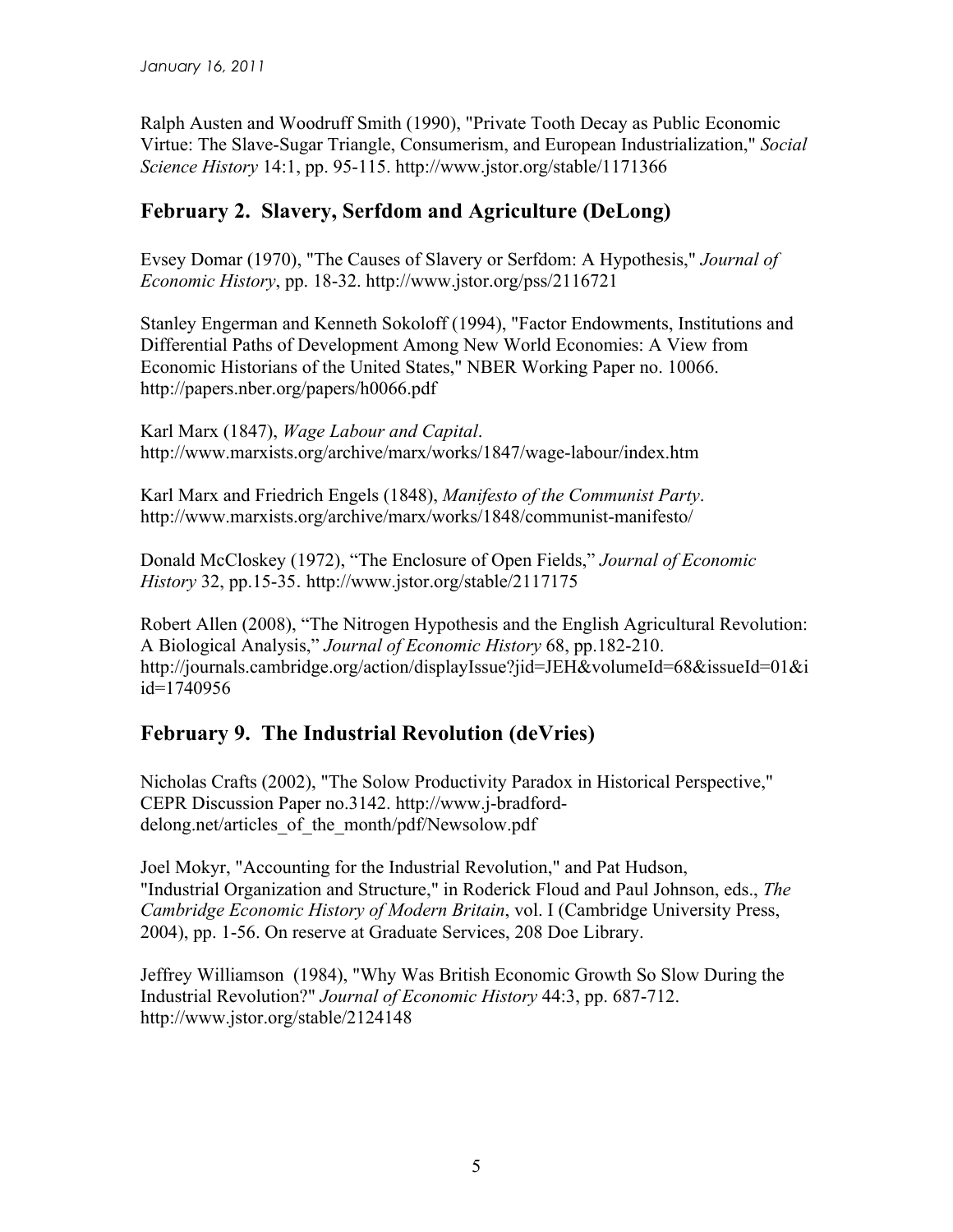Ralph Austen and Woodruff Smith (1990), "Private Tooth Decay as Public Economic Virtue: The Slave-Sugar Triangle, Consumerism, and European Industrialization," *Social Science History* 14:1, pp. 95-115. http://www.jstor.org/stable/1171366

## **February 2. Slavery, Serfdom and Agriculture (DeLong)**

Evsey Domar (1970), "The Causes of Slavery or Serfdom: A Hypothesis," *Journal of Economic History*, pp. 18-32. http://www.jstor.org/pss/2116721

Stanley Engerman and Kenneth Sokoloff (1994), "Factor Endowments, Institutions and Differential Paths of Development Among New World Economies: A View from Economic Historians of the United States," NBER Working Paper no. 10066. http://papers.nber.org/papers/h0066.pdf

Karl Marx (1847), *Wage Labour and Capital*. http://www.marxists.org/archive/marx/works/1847/wage-labour/index.htm

Karl Marx and Friedrich Engels (1848), *Manifesto of the Communist Party*. http://www.marxists.org/archive/marx/works/1848/communist-manifesto/

Donald McCloskey (1972), "The Enclosure of Open Fields," *Journal of Economic History* 32, pp.15-35. http://www.jstor.org/stable/2117175

Robert Allen (2008), "The Nitrogen Hypothesis and the English Agricultural Revolution: A Biological Analysis," *Journal of Economic History* 68, pp.182-210. http://journals.cambridge.org/action/displayIssue?jid=JEH&volumeId=68&issueId=01&i id=1740956

## **February 9. The Industrial Revolution (deVries)**

Nicholas Crafts (2002), "The Solow Productivity Paradox in Historical Perspective," CEPR Discussion Paper no.3142. http://www.j-bradforddelong.net/articles of the month/pdf/Newsolow.pdf

Joel Mokyr, "Accounting for the Industrial Revolution," and Pat Hudson, "Industrial Organization and Structure," in Roderick Floud and Paul Johnson, eds., *The Cambridge Economic History of Modern Britain*, vol. I (Cambridge University Press, 2004), pp. 1-56. On reserve at Graduate Services, 208 Doe Library.

Jeffrey Williamson (1984), "Why Was British Economic Growth So Slow During the Industrial Revolution?" *Journal of Economic History* 44:3, pp. 687-712. http://www.jstor.org/stable/2124148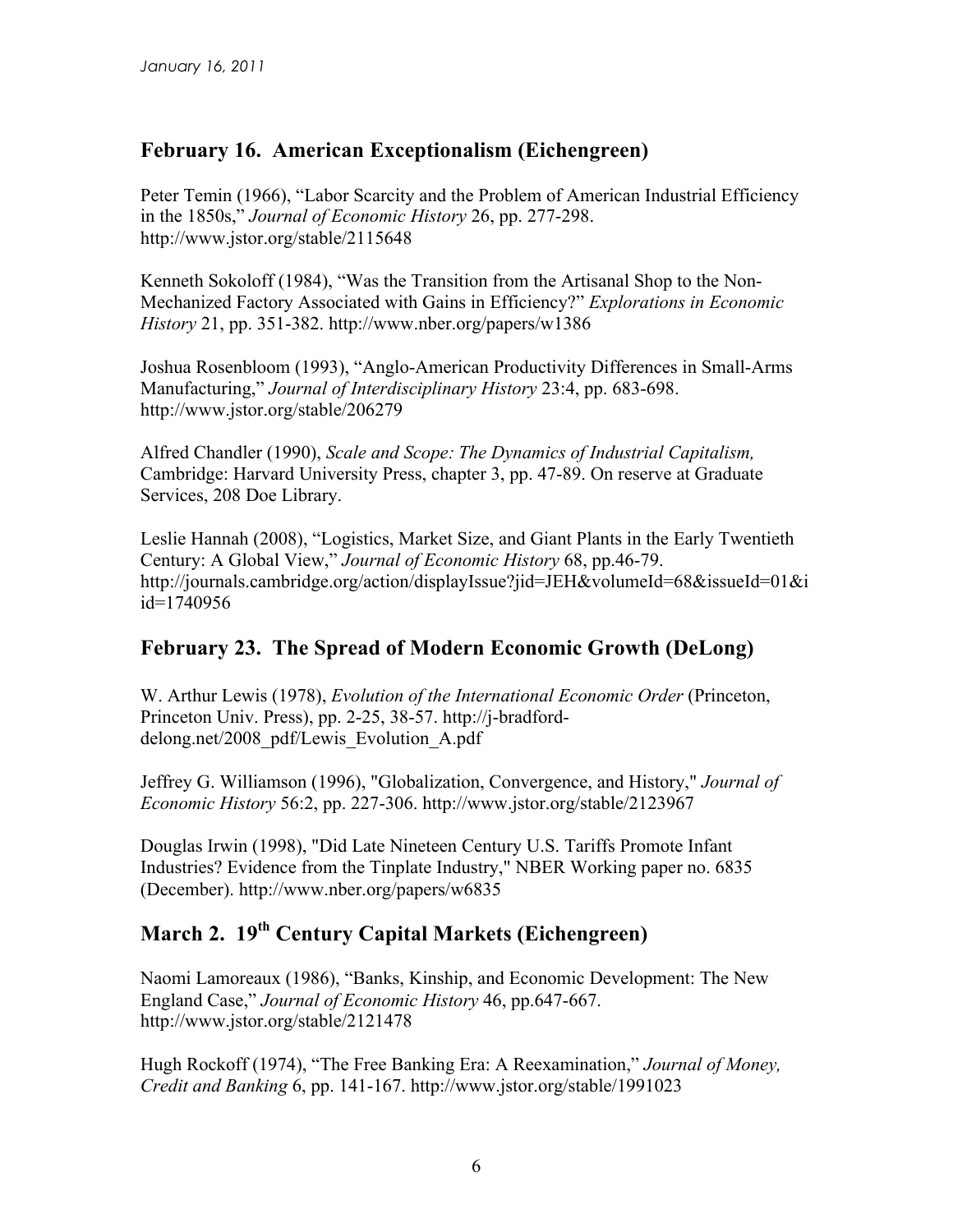### **February 16. American Exceptionalism (Eichengreen)**

Peter Temin (1966), "Labor Scarcity and the Problem of American Industrial Efficiency in the 1850s," *Journal of Economic History* 26, pp. 277-298. http://www.jstor.org/stable/2115648

Kenneth Sokoloff (1984), "Was the Transition from the Artisanal Shop to the Non-Mechanized Factory Associated with Gains in Efficiency?" *Explorations in Economic History* 21, pp. 351-382. http://www.nber.org/papers/w1386

Joshua Rosenbloom (1993), "Anglo-American Productivity Differences in Small-Arms Manufacturing," *Journal of Interdisciplinary History* 23:4, pp. 683-698. http://www.jstor.org/stable/206279

Alfred Chandler (1990), *Scale and Scope: The Dynamics of Industrial Capitalism,*  Cambridge: Harvard University Press, chapter 3, pp. 47-89. On reserve at Graduate Services, 208 Doe Library.

Leslie Hannah (2008), "Logistics, Market Size, and Giant Plants in the Early Twentieth Century: A Global View," *Journal of Economic History* 68, pp.46-79. http://journals.cambridge.org/action/displayIssue?jid=JEH&volumeId=68&issueId=01&i id=1740956

#### **February 23. The Spread of Modern Economic Growth (DeLong)**

W. Arthur Lewis (1978), *Evolution of the International Economic Order* (Princeton, Princeton Univ. Press), pp. 2-25, 38-57. http://j-bradforddelong.net/2008\_pdf/Lewis\_Evolution\_A.pdf

Jeffrey G. Williamson (1996), "Globalization, Convergence, and History," *Journal of Economic History* 56:2, pp. 227-306. http://www.jstor.org/stable/2123967

Douglas Irwin (1998), "Did Late Nineteen Century U.S. Tariffs Promote Infant Industries? Evidence from the Tinplate Industry," NBER Working paper no. 6835 (December). http://www.nber.org/papers/w6835

# **March 2. 19th Century Capital Markets (Eichengreen)**

Naomi Lamoreaux (1986), "Banks, Kinship, and Economic Development: The New England Case," *Journal of Economic History* 46, pp.647-667. http://www.jstor.org/stable/2121478

Hugh Rockoff (1974), "The Free Banking Era: A Reexamination," *Journal of Money, Credit and Banking* 6, pp. 141-167. http://www.jstor.org/stable/1991023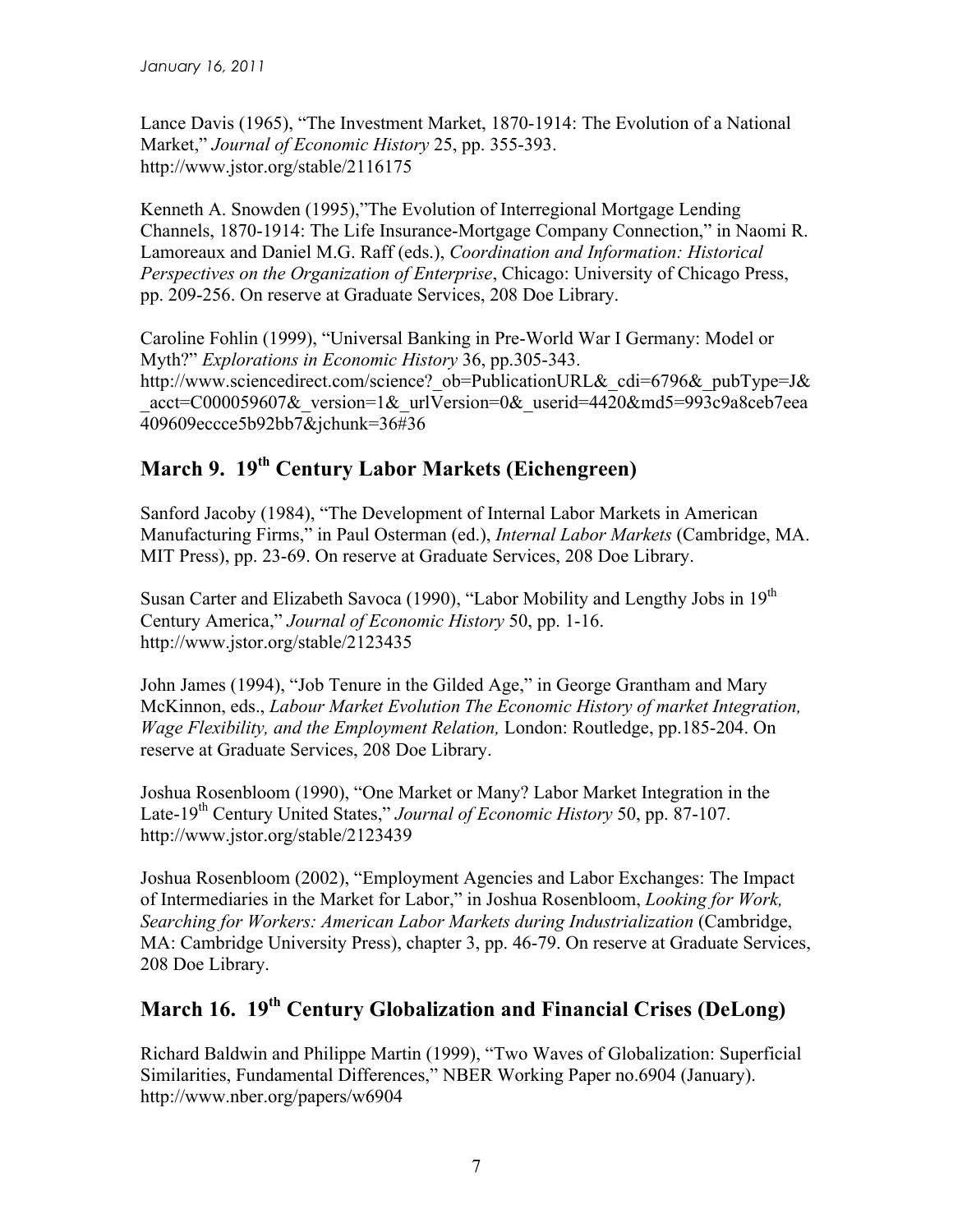Lance Davis (1965), "The Investment Market, 1870-1914: The Evolution of a National Market," *Journal of Economic History* 25, pp. 355-393. http://www.jstor.org/stable/2116175

Kenneth A. Snowden (1995),"The Evolution of Interregional Mortgage Lending Channels, 1870-1914: The Life Insurance-Mortgage Company Connection," in Naomi R. Lamoreaux and Daniel M.G. Raff (eds.), *Coordination and Information: Historical Perspectives on the Organization of Enterprise*, Chicago: University of Chicago Press, pp. 209-256. On reserve at Graduate Services, 208 Doe Library.

Caroline Fohlin (1999), "Universal Banking in Pre-World War I Germany: Model or Myth?" *Explorations in Economic History* 36, pp.305-343. http://www.sciencedirect.com/science? ob=PublicationURL& cdi=6796& pubType=J& acct=C000059607& version=1& urlVersion=0& userid=4420&md5=993c9a8ceb7eea 409609eccce5b92bb7&jchunk=36#36

# **March 9. 19th Century Labor Markets (Eichengreen)**

Sanford Jacoby (1984), "The Development of Internal Labor Markets in American Manufacturing Firms," in Paul Osterman (ed.), *Internal Labor Markets* (Cambridge, MA. MIT Press), pp. 23-69. On reserve at Graduate Services, 208 Doe Library.

Susan Carter and Elizabeth Savoca (1990), "Labor Mobility and Lengthy Jobs in 19th Century America," *Journal of Economic History* 50, pp. 1-16. http://www.jstor.org/stable/2123435

John James (1994), "Job Tenure in the Gilded Age," in George Grantham and Mary McKinnon, eds., *Labour Market Evolution The Economic History of market Integration, Wage Flexibility, and the Employment Relation,* London: Routledge, pp.185-204. On reserve at Graduate Services, 208 Doe Library.

Joshua Rosenbloom (1990), "One Market or Many? Labor Market Integration in the Late-19th Century United States," *Journal of Economic History* 50, pp. 87-107. http://www.jstor.org/stable/2123439

Joshua Rosenbloom (2002), "Employment Agencies and Labor Exchanges: The Impact of Intermediaries in the Market for Labor," in Joshua Rosenbloom, *Looking for Work, Searching for Workers: American Labor Markets during Industrialization* (Cambridge, MA: Cambridge University Press), chapter 3, pp. 46-79. On reserve at Graduate Services, 208 Doe Library.

# **March 16. 19th Century Globalization and Financial Crises (DeLong)**

Richard Baldwin and Philippe Martin (1999), "Two Waves of Globalization: Superficial Similarities, Fundamental Differences," NBER Working Paper no.6904 (January). http://www.nber.org/papers/w6904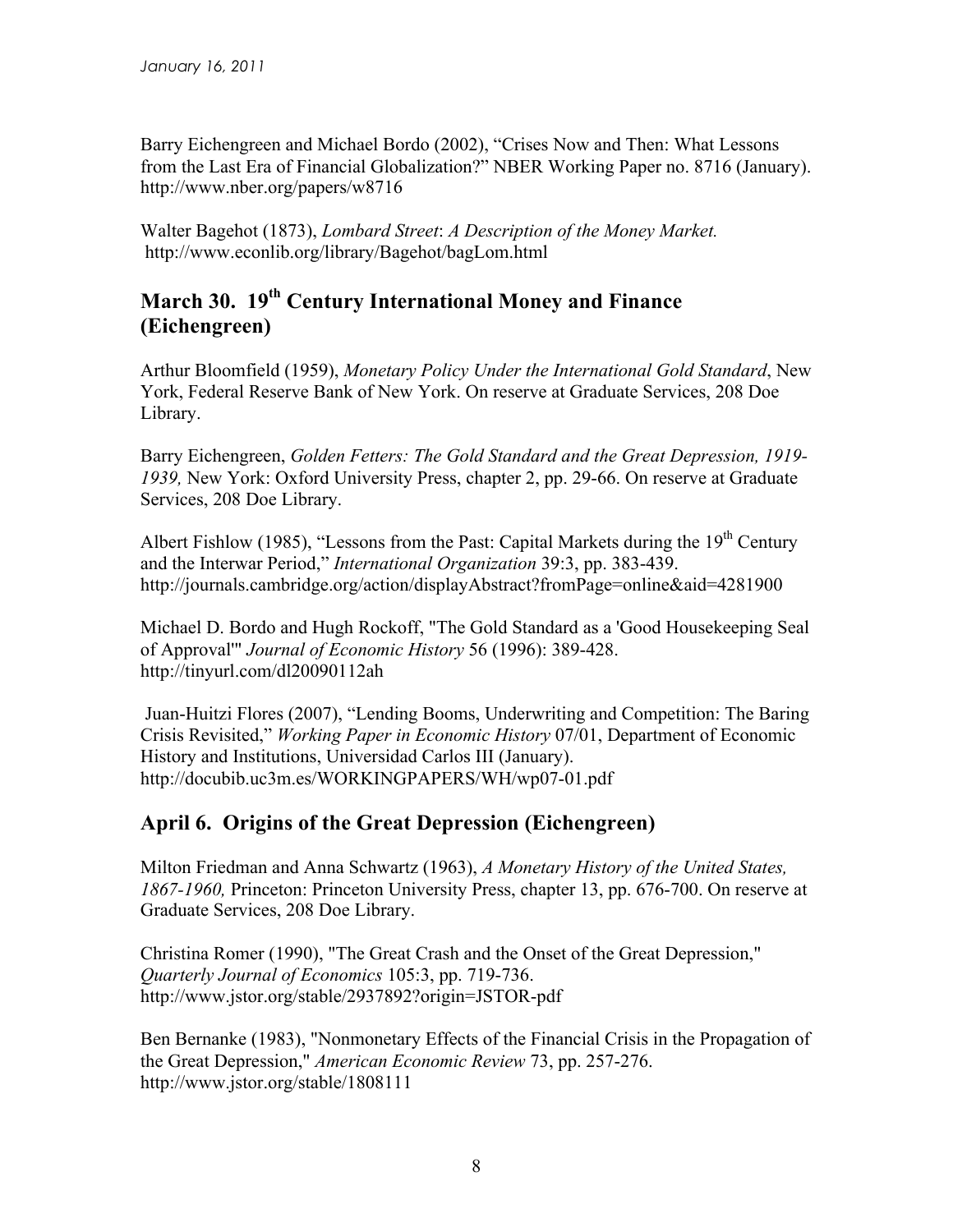Barry Eichengreen and Michael Bordo (2002), "Crises Now and Then: What Lessons from the Last Era of Financial Globalization?" NBER Working Paper no. 8716 (January). http://www.nber.org/papers/w8716

Walter Bagehot (1873), *Lombard Street*: *A Description of the Money Market.* http://www.econlib.org/library/Bagehot/bagLom.html

## **March 30. 19th Century International Money and Finance (Eichengreen)**

Arthur Bloomfield (1959), *Monetary Policy Under the International Gold Standard*, New York, Federal Reserve Bank of New York. On reserve at Graduate Services, 208 Doe Library.

Barry Eichengreen, *Golden Fetters: The Gold Standard and the Great Depression, 1919- 1939,* New York: Oxford University Press, chapter 2, pp. 29-66. On reserve at Graduate Services, 208 Doe Library.

Albert Fishlow (1985), "Lessons from the Past: Capital Markets during the  $19<sup>th</sup>$  Century and the Interwar Period," *International Organization* 39:3, pp. 383-439. http://journals.cambridge.org/action/displayAbstract?fromPage=online&aid=4281900

Michael D. Bordo and Hugh Rockoff, "The Gold Standard as a 'Good Housekeeping Seal of Approval'" *Journal of Economic History* 56 (1996): 389-428. http://tinyurl.com/dl20090112ah

 Juan-Huitzi Flores (2007), "Lending Booms, Underwriting and Competition: The Baring Crisis Revisited," *Working Paper in Economic History* 07/01, Department of Economic History and Institutions, Universidad Carlos III (January). http://docubib.uc3m.es/WORKINGPAPERS/WH/wp07-01.pdf

#### **April 6. Origins of the Great Depression (Eichengreen)**

Milton Friedman and Anna Schwartz (1963), *A Monetary History of the United States, 1867-1960,* Princeton: Princeton University Press, chapter 13, pp. 676-700. On reserve at Graduate Services, 208 Doe Library.

Christina Romer (1990), "The Great Crash and the Onset of the Great Depression," *Quarterly Journal of Economics* 105:3, pp. 719-736. http://www.jstor.org/stable/2937892?origin=JSTOR-pdf

Ben Bernanke (1983), "Nonmonetary Effects of the Financial Crisis in the Propagation of the Great Depression," *American Economic Review* 73, pp. 257-276. http://www.jstor.org/stable/1808111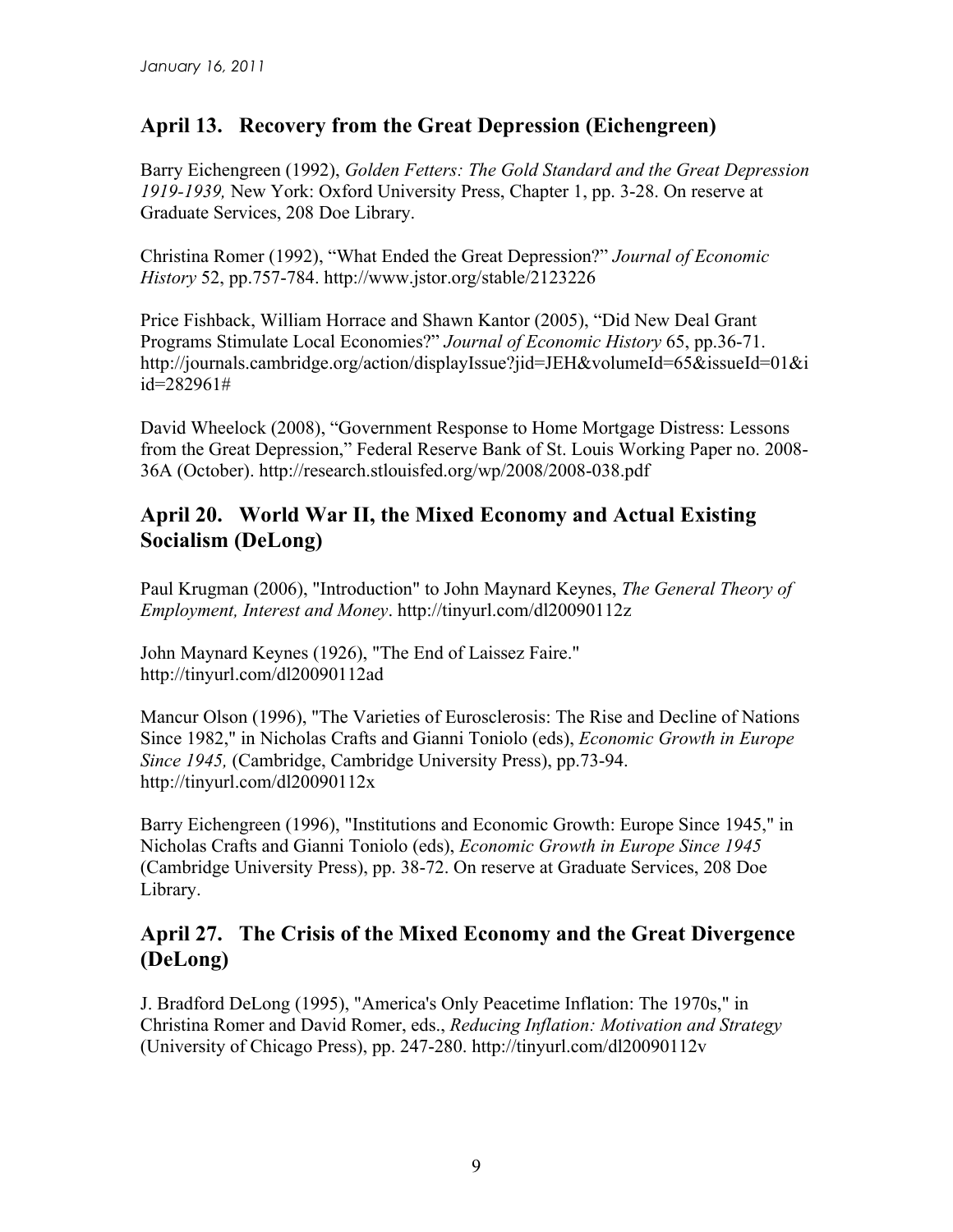## **April 13. Recovery from the Great Depression (Eichengreen)**

Barry Eichengreen (1992), *Golden Fetters: The Gold Standard and the Great Depression 1919-1939,* New York: Oxford University Press, Chapter 1, pp. 3-28. On reserve at Graduate Services, 208 Doe Library.

Christina Romer (1992), "What Ended the Great Depression?" *Journal of Economic History* 52, pp.757-784. http://www.jstor.org/stable/2123226

Price Fishback, William Horrace and Shawn Kantor (2005), "Did New Deal Grant Programs Stimulate Local Economies?" *Journal of Economic History* 65, pp.36-71. http://journals.cambridge.org/action/displayIssue?jid=JEH&volumeId=65&issueId=01&i id=282961#

David Wheelock (2008), "Government Response to Home Mortgage Distress: Lessons from the Great Depression," Federal Reserve Bank of St. Louis Working Paper no. 2008- 36A (October). http://research.stlouisfed.org/wp/2008/2008-038.pdf

### **April 20. World War II, the Mixed Economy and Actual Existing Socialism (DeLong)**

Paul Krugman (2006), "Introduction" to John Maynard Keynes, *The General Theory of Employment, Interest and Money*. http://tinyurl.com/dl20090112z

John Maynard Keynes (1926), "The End of Laissez Faire." http://tinyurl.com/dl20090112ad

Mancur Olson (1996), "The Varieties of Eurosclerosis: The Rise and Decline of Nations Since 1982," in Nicholas Crafts and Gianni Toniolo (eds), *Economic Growth in Europe Since 1945,* (Cambridge, Cambridge University Press), pp.73-94. http://tinyurl.com/dl20090112x

Barry Eichengreen (1996), "Institutions and Economic Growth: Europe Since 1945," in Nicholas Crafts and Gianni Toniolo (eds), *Economic Growth in Europe Since 1945* (Cambridge University Press), pp. 38-72. On reserve at Graduate Services, 208 Doe Library.

#### **April 27. The Crisis of the Mixed Economy and the Great Divergence (DeLong)**

J. Bradford DeLong (1995), "America's Only Peacetime Inflation: The 1970s," in Christina Romer and David Romer, eds., *Reducing Inflation: Motivation and Strategy* (University of Chicago Press), pp. 247-280. http://tinyurl.com/dl20090112v